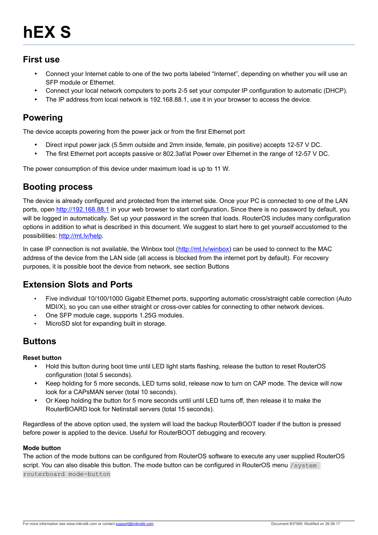#### **First use**

- Connect your Internet cable to one of the two ports labeled "Internet", depending on whether you will use an SFP module or Ethernet.
- Connect your local network computers to ports 2-5 set your computer IP configuration to automatic (DHCP).
- The IP address from local network is 192.168.88.1, use it in your browser to access the device.

#### **Powering**

The device accepts powering from the power jack or from the first Ethernet port

- Direct input power jack (5.5mm outside and 2mm inside, female, pin positive) accepts 12-57 V DC.
- The first Ethernet port accepts passive or 802.3af/at Power over Ethernet in the range of 12-57 V DC.

The power consumption of this device under maximum load is up to 11 W.

## **Booting process**

The device is already configured and protected from the internet side. Once your PC is connected to one of the LAN ports, open [http:// 192.168.88.1](http://192.168.88.1/) in your web browser to start configuration**.** Since there is no password by default, you will be logged in automatically. Set up your password in the screen that loads. RouterOS includes many configuration options in addition to what is described in this document. We suggest to start here to get yourself accustomed to the possibilities: [http://mt.lv/help.](http://mt.lv/help)

In case IP connection is not available, the Winbox tool [\(http://mt.lv/winbox\)](http://mt.lv/winbox) can be used to connect to the MAC address of the device from the LAN side (all access is blocked from the internet port by default). For recovery purposes, it is possible boot the device from network, see section [Buttons](#page-0-0) 

## **Extension Slots and Ports**

- Five individual 10/100/1000 Gigabit Ethernet ports, supporting automatic cross/straight cable correction (Auto MDI/X), so you can use either straight or cross-over cables for connecting to other network devices.
- One SFP module cage, supports 1.25G modules.
- MicroSD slot for expanding built in storage.

## <span id="page-0-0"></span>**Buttons**

#### **Reset button**

- Hold this button during boot time until LED light starts flashing, release the button to reset RouterOS configuration (total 5 seconds).
- Keep holding for 5 more seconds, LED turns solid, release now to turn on CAP mode. The device will now look for a CAPsMAN server (total 10 seconds).
- Or Keep holding the button for 5 more seconds until until LED turns off, then release it to make the RouterBOARD look for Netinstall servers (total 15 seconds).

Regardless of the above option used, the system will load the backup RouterBOOT loader if the button is pressed before power is applied to the device. Useful for RouterBOOT debugging and recovery.

#### **Mode button**

The action of the mode buttons can be configured from RouterOS software to execute any user supplied RouterOS script. You can also disable this button. The mode button can be configured in RouterOS menu /system routerboard mode-button